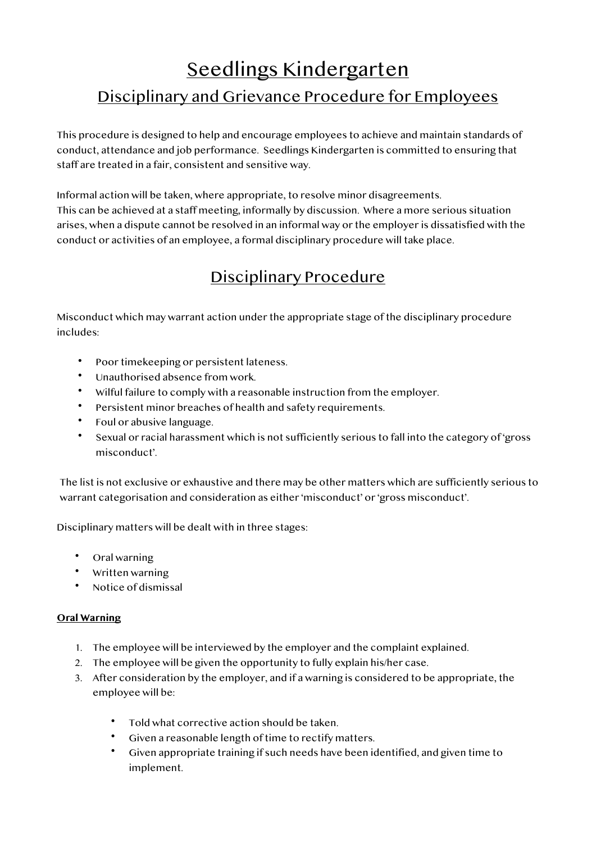# Seedlings Kindergarten Disciplinary and Grievance Procedure for Employees

This procedure is designed to help and encourage employees to achieve and maintain standards of conduct, attendance and job performance. Seedlings Kindergarten is committed to ensuring that staff are treated in a fair, consistent and sensitive way.

Informal action will be taken, where appropriate, to resolve minor disagreements. This can be achieved at a staff meeting, informally by discussion. Where a more serious situation arises, when a dispute cannot be resolved in an informal way or the employer is dissatisfied with the conduct or activities of an employee, a formal disciplinary procedure will take place.

## Disciplinary Procedure

Misconduct which may warrant action under the appropriate stage of the disciplinary procedure includes:

- Poor timekeeping or persistent lateness.
- Unauthorised absence from work.
- Wilful failure to comply with a reasonable instruction from the employer.
- Persistent minor breaches of health and safety requirements.
- Foul or abusive language.
- Sexual or racial harassment which is not sufficiently serious to fall into the category of 'gross misconduct'.

The list is not exclusive or exhaustive and there may be other matters which are sufficiently serious to warrant categorisation and consideration as either 'misconduct' or 'gross misconduct'.

Disciplinary matters will be dealt with in three stages:

- Oral warning
- Written warning
- Notice of dismissal

#### **Oral Warning**

- 1. The employee will be interviewed by the employer and the complaint explained.
- 2. The employee will be given the opportunity to fully explain his/her case.
- 3. After consideration by the employer, and if a warning is considered to be appropriate, the employee will be:
	- Told what corrective action should be taken.
	- Given a reasonable length of time to rectify matters.
	- Given appropriate training if such needs have been identified, and given time to implement.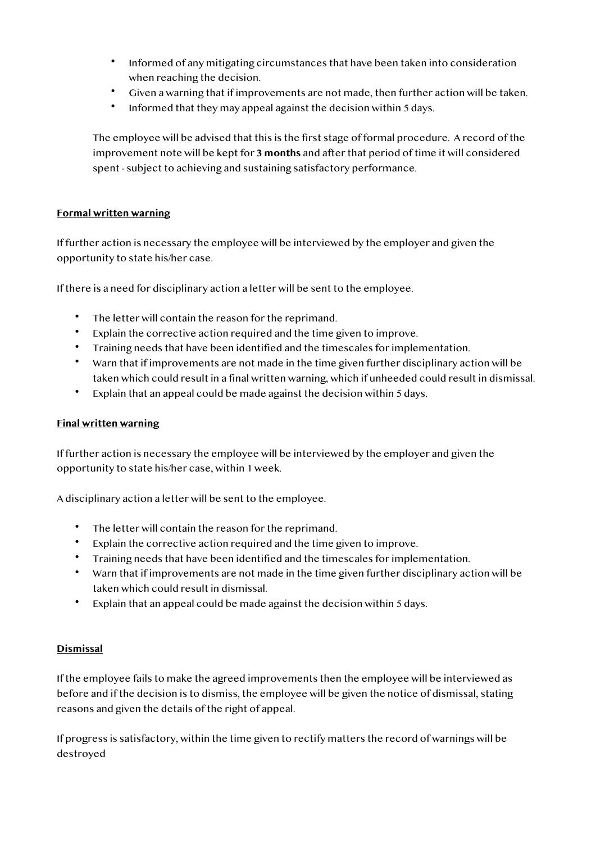- Informed of any mitigating circumstances that have been taken into consideration when reaching the decision.
- Given a warning that if improvements are not made, then further action will be taken.
- Informed that they may appeal against the decision within 5 days.

The employee will be advised that this is the first stage of formal procedure. A record of the improvement note will be kept for **3 months** and after that period of time it will considered spent - subject to achieving and sustaining satisfactory performance.

#### **Formal written warning**

If further action is necessary the employee will be interviewed by the employer and given the opportunity to state his/her case.

If there is a need for disciplinary action a letter will be sent to the employee.

- The letter will contain the reason for the reprimand.
- Explain the corrective action required and the time given to improve.
- Training needs that have been identified and the timescales for implementation.
- Warn that if improvements are not made in the time given further disciplinary action will be taken which could result in a final written warning, which if unheeded could result in dismissal.
- Explain that an appeal could be made against the decision within 5 days.

#### **Final written warning**

If further action is necessary the employee will be interviewed by the employer and given the opportunity to state his/her case, within 1 week.

A disciplinary action a letter will be sent to the employee.

- The letter will contain the reason for the reprimand.
- Explain the corrective action required and the time given to improve.
- Training needs that have been identified and the timescales for implementation.
- Warn that if improvements are not made in the time given further disciplinary action will be taken which could result in dismissal.
- Explain that an appeal could be made against the decision within 5 days.

#### **Dismissal**

If the employee fails to make the agreed improvements then the employee will be interviewed as before and if the decision is to dismiss, the employee will be given the notice of dismissal, stating reasons and given the details of the right of appeal.

If progress is satisfactory, within the time given to rectify matters the record of warnings will be destroyed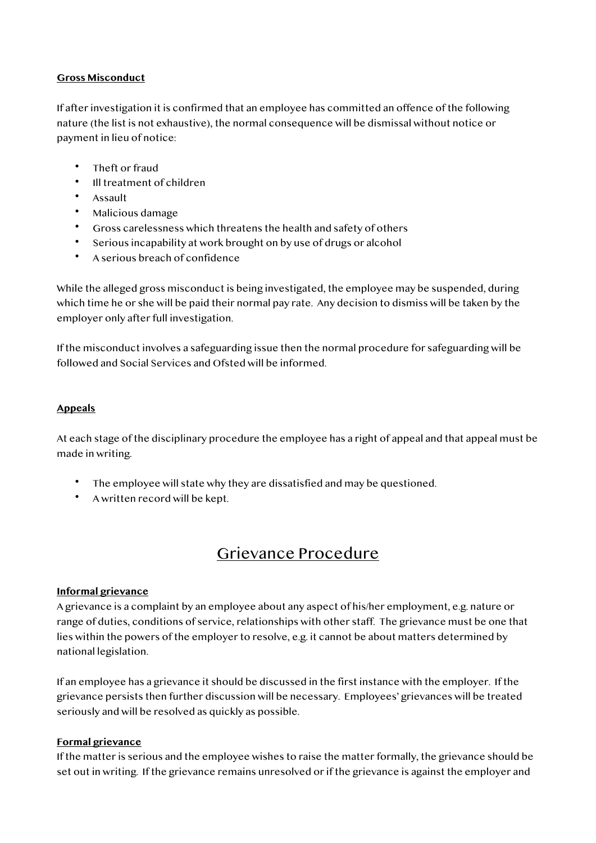#### **Gross Misconduct**

If after investigation it is confirmed that an employee has committed an offence of the following nature (the list is not exhaustive), the normal consequence will be dismissal without notice or payment in lieu of notice:

- Theft or fraud
- Ill treatment of children
- Assault
- Malicious damage
- Gross carelessness which threatens the health and safety of others
- Serious incapability at work brought on by use of drugs or alcohol
- A serious breach of confidence

While the alleged gross misconduct is being investigated, the employee may be suspended, during which time he or she will be paid their normal pay rate. Any decision to dismiss will be taken by the employer only after full investigation.

If the misconduct involves a safeguarding issue then the normal procedure for safeguarding will be followed and Social Services and Ofsted will be informed.

#### **Appeals**

At each stage of the disciplinary procedure the employee has a right of appeal and that appeal must be made in writing.

- The employee will state why they are dissatisfied and may be questioned.
- A written record will be kept.

### Grievance Procedure

#### **Informal grievance**

A grievance is a complaint by an employee about any aspect of his/her employment, e.g. nature or range of duties, conditions of service, relationships with other staff. The grievance must be one that lies within the powers of the employer to resolve, e.g. it cannot be about matters determined by national legislation.

If an employee has a grievance it should be discussed in the first instance with the employer. If the grievance persists then further discussion will be necessary. Employees' grievances will be treated seriously and will be resolved as quickly as possible.

#### **Formal grievance**

If the matter is serious and the employee wishes to raise the matter formally, the grievance should be set out in writing. If the grievance remains unresolved or if the grievance is against the employer and